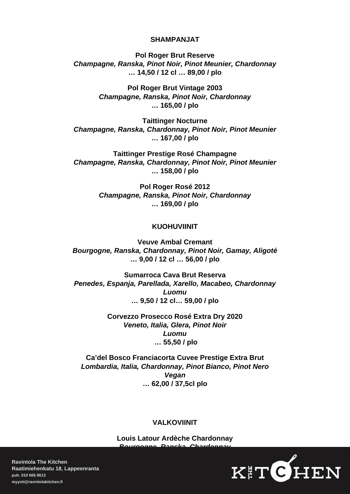### SHAMPANJAT

Pol Roger Brut Reserve Champagne, Ranska, Pinot Noir, Pinot Meunier, Chardonnay … 14,50 / 12 cl … 89,00 / plo

> Pol Roger Brut Vintage 2003 Champagne, Ranska, Pinot Noir, Chardonnay … 165,00 / plo

Taittinger Nocturne Champagne, Ranska, Chardonnay, Pinot Noir, Pinot Meunier … 167,00 / plo

Taittinger Prestige Rosé Champagne Champagne, Ranska, Chardonnay, Pinot Noir, Pinot Meunier … 158,00 / plo

> Pol Roger Rosé 2012 Champagne, Ranska, Pinot Noir, Chardonnay … 169,00 / plo

### KUOHUVIINIT

Veuve Ambal Cremant Bourgogne, Ranska, Chardonnay, Pinot Noir, Gamay, Aligoté … 9,00 / 12 cl … 56,00 / plo

Sumarroca Cava Brut Reserva Penedes, Espanja, Parellada, Xarello, Macabeo, Chardonnay Luomu … 9,50 / 12 cl… 59,00 / plo

> Corvezzo Prosecco Rosé Extra Dry 2020 Veneto, Italia, Glera, Pinot Noir Luomu … 55,50 / plo

Ca'del Bosco Franciacorta Cuvee Prestige Extra Brut Lombardia, Italia, Chardonnay, Pinot Bianco, Pinot Nero Vegan … 62,00 / 37,5cl plo

#### VALKOVIINIT

Louis Latour Ardèche Chardonnay rgogne, Ranska, Char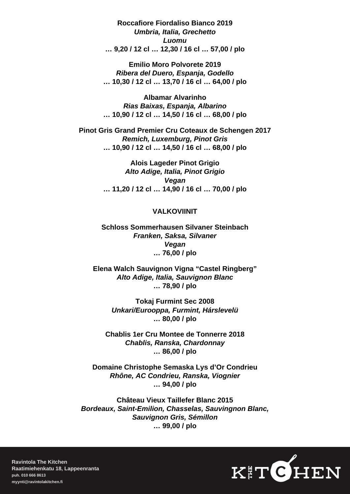Roccafiore Fiordaliso Bianco 2019 Umbria, Italia, Grechetto Luomu … 9,20 / 12 cl … 12,30 / 16 cl … 57,00 / plo

Emilio Moro Polvorete 2019 Ribera del Duero, Espanja, Godello … 10,30 / 12 cl … 13,70 / 16 cl … 64,00 / plo

Albamar Alvarinho Rias Baixas, Espanja, Albarino … 10,90 / 12 cl … 14,50 / 16 cl … 68,00 / plo

Pinot Gris Grand Premier Cru Coteaux de Schengen 2017 Remich, Luxemburg, Pinot Gris … 10,90 / 12 cl … 14,50 / 16 cl … 68,00 / plo

> Alois Lageder Pinot Grigio Alto Adige, Italia, Pinot Grigio Vegan … 11,20 / 12 cl … 14,90 / 16 cl … 70,00 / plo

# VALKOVIINIT

Schloss Sommerhausen Silvaner Steinbach Franken, Saksa, Silvaner Vegan … 76,00 / plo

Elena Walch Sauvignon Vigna "Castel Ringberg" Alto Adige, Italia, Sauvignon Blanc … 78,90 / plo

> Tokaj Furmint Sec 2008 Unkari/Eurooppa, Furmint, Hárslevelü … 80,00 / plo

Chablis 1er Cru Montee de Tonnerre 2018 Chablis, Ranska, Chardonnay … 86,00 / plo

Domaine Christophe Semaska Lys d'Or Condrieu Rhône, AC Condrieu, Ranska, Viognier … 94,00 / plo

Château Vieux Taillefer Blanc 2015 Bordeaux, Saint-Emilion, Chasselas, Sauvingnon Blanc, Sauvignon Gris, Sémillon … 99,00 / plo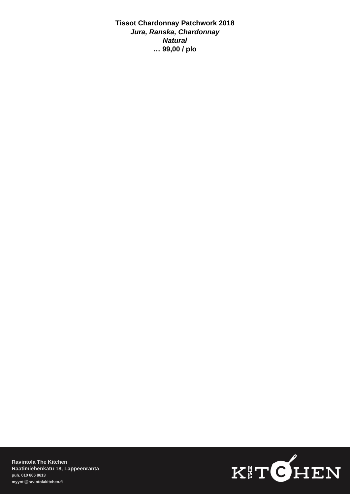Tissot Chardonnay Patchwork 2018 Jura, Ranska, Chardonnay Natural … 99,00 / plo

Ravintola The Kitchen Raatimiehenkatu 18, Lappeenranta [puh. 010 666 8613](/var/www/fs3/53/kolmekiv/public_html/kitchen/uusi/tel:0106668613) [myynti@ravintolakitchen.fi](mailto:myynti@ravintolakitchen.fi)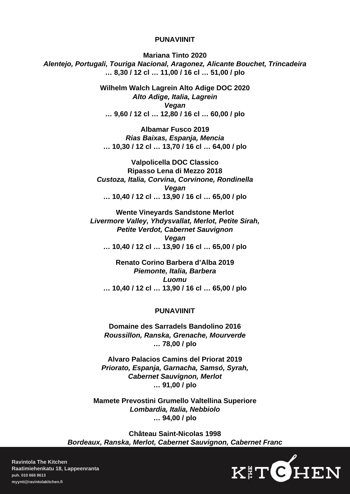#### PUNAVIINIT

Mariana Tinto 2020 Alentejo, Portugali, Touriga Nacional, Aragonez, Alicante Bouchet, Trincadeira … 8,30 / 12 cl … 11,00 / 16 cl … 51,00 / plo

> Wilhelm Walch Lagrein Alto Adige DOC 2020 Alto Adige, Italia, Lagrein Vegan … 9,60 / 12 cl … 12,80 / 16 cl … 60,00 / plo

Albamar Fusco 2019 Rias Baixas, Espanja, Mencia … 10,30 / 12 cl … 13,70 / 16 cl … 64,00 / plo

Valpolicella DOC Classico Ripasso Lena di Mezzo 2018 Custoza, Italia, Corvina, Corvinone, Rondinella Vegan … 10,40 / 12 cl … 13,90 / 16 cl … 65,00 / plo

Wente Vineyards Sandstone Merlot Livermore Valley, Yhdysvallat, Merlot, Petite Sirah, Petite Verdot, Cabernet Sauvignon Vegan … 10,40 / 12 cl … 13,90 / 16 cl … 65,00 / plo

Renato Corino Barbera d'Alba 2019 Piemonte, Italia, Barbera Luomu … 10,40 / 12 cl … 13,90 / 16 cl … 65,00 / plo

## PUNAVIINIT

Domaine des Sarradels Bandolino 2016 Roussillon, Ranska, Grenache, Mourverde … 78,00 / plo

Alvaro Palacios Camins del Priorat 2019 Priorato, Espanja, Garnacha, Samsó, Syrah, Cabernet Sauvignon, Merlot … 91,00 / plo

Mamete Prevostini Grumello Valtellina Superiore Lombardia, Italia, Nebbiolo … 94,00 / plo

Château Saint-Nicolas 1998 Bordeaux, Ranska, Merlot, Cabernet Sauvignon, Cabernet Franc